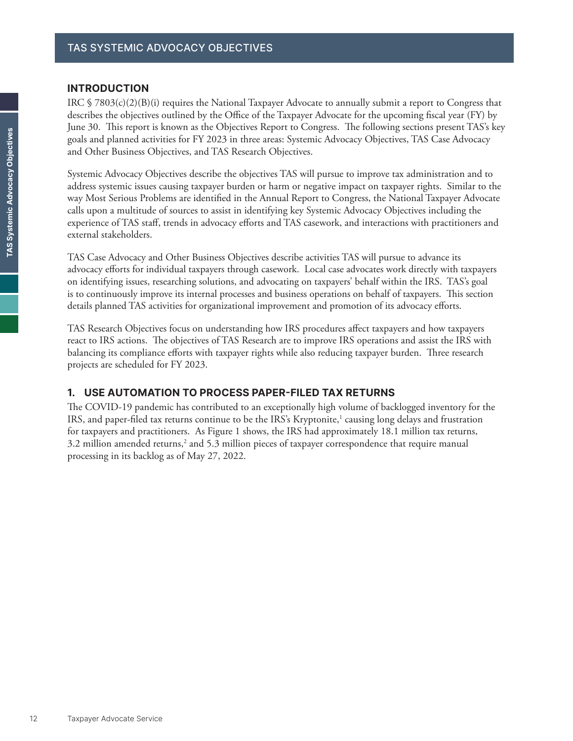## **INTRODUCTION**

IRC § 7803(c)(2)(B)(i) requires the National Taxpayer Advocate to annually submit a report to Congress that describes the objectives outlined by the Office of the Taxpayer Advocate for the upcoming fiscal year (FY) by June 30. This report is known as the Objectives Report to Congress. The following sections present TAS's key goals and planned activities for FY 2023 in three areas: Systemic Advocacy Objectives, TAS Case Advocacy and Other Business Objectives, and TAS Research Objectives.

Systemic Advocacy Objectives describe the objectives TAS will pursue to improve tax administration and to address systemic issues causing taxpayer burden or harm or negative impact on taxpayer rights. Similar to the way Most Serious Problems are identified in the Annual Report to Congress, the National Taxpayer Advocate calls upon a multitude of sources to assist in identifying key Systemic Advocacy Objectives including the experience of TAS staff, trends in advocacy efforts and TAS casework, and interactions with practitioners and external stakeholders.

TAS Case Advocacy and Other Business Objectives describe activities TAS will pursue to advance its advocacy efforts for individual taxpayers through casework. Local case advocates work directly with taxpayers on identifying issues, researching solutions, and advocating on taxpayers' behalf within the IRS. TAS's goal is to continuously improve its internal processes and business operations on behalf of taxpayers. This section details planned TAS activities for organizational improvement and promotion of its advocacy efforts.

TAS Research Objectives focus on understanding how IRS procedures affect taxpayers and how taxpayers react to IRS actions. The objectives of TAS Research are to improve IRS operations and assist the IRS with balancing its compliance efforts with taxpayer rights while also reducing taxpayer burden. Three research projects are scheduled for FY 2023.

## **1. USE AUTOMATION TO PROCESS PAPER-FILED TAX RETURNS**

The COVID-19 pandemic has contributed to an exceptionally high volume of backlogged inventory for the IRS, and paper-filed tax returns continue to be the IRS's Kryptonite, $^1$  causing long delays and frustration for taxpayers and practitioners. As Figure 1 shows, the IRS had approximately 18.1 million tax returns,  $3.2$  million amended returns,<sup>2</sup> and  $5.3$  million pieces of taxpayer correspondence that require manual processing in its backlog as of May 27, 2022.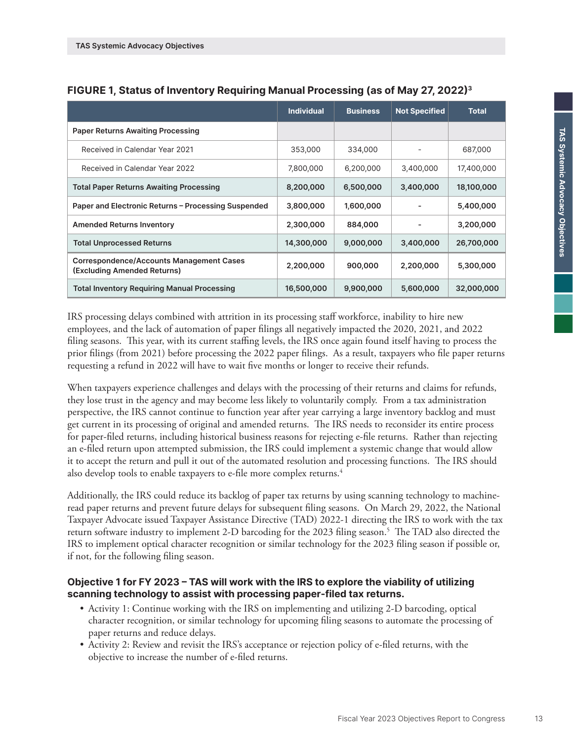|                                                                                | <b>Individual</b> | <b>Business</b> | <b>Not Specified</b> | <b>Total</b> |
|--------------------------------------------------------------------------------|-------------------|-----------------|----------------------|--------------|
| <b>Paper Returns Awaiting Processing</b>                                       |                   |                 |                      |              |
| Received in Calendar Year 2021                                                 | 353,000           | 334,000         |                      | 687,000      |
| Received in Calendar Year 2022                                                 | 7,800,000         | 6,200,000       | 3,400,000            | 17,400,000   |
| <b>Total Paper Returns Awaiting Processing</b>                                 | 8,200,000         | 6,500,000       | 3,400,000            | 18,100,000   |
| Paper and Electronic Returns - Processing Suspended                            | 3,800,000         | 1,600,000       |                      | 5,400,000    |
| <b>Amended Returns Inventory</b>                                               | 2,300,000         | 884,000         |                      | 3,200,000    |
| <b>Total Unprocessed Returns</b>                                               | 14,300,000        | 9,000,000       | 3,400,000            | 26,700,000   |
| <b>Correspondence/Accounts Management Cases</b><br>(Excluding Amended Returns) | 2,200,000         | 900,000         | 2,200,000            | 5,300,000    |
| <b>Total Inventory Requiring Manual Processing</b>                             | 16,500,000        | 9,900,000       | 5,600,000            | 32,000,000   |

## **FIGURE 1, Status of Inventory Requiring Manual Processing (as of May 27, 2022)3**

IRS processing delays combined with attrition in its processing staff workforce, inability to hire new employees, and the lack of automation of paper filings all negatively impacted the 2020, 2021, and 2022 filing seasons. This year, with its current staffing levels, the IRS once again found itself having to process the prior filings (from 2021) before processing the 2022 paper filings. As a result, taxpayers who file paper returns requesting a refund in 2022 will have to wait five months or longer to receive their refunds.

When taxpayers experience challenges and delays with the processing of their returns and claims for refunds, they lose trust in the agency and may become less likely to voluntarily comply. From a tax administration perspective, the IRS cannot continue to function year after year carrying a large inventory backlog and must get current in its processing of original and amended returns. The IRS needs to reconsider its entire process for paper-filed returns, including historical business reasons for rejecting e-file returns. Rather than rejecting an e-filed return upon attempted submission, the IRS could implement a systemic change that would allow it to accept the return and pull it out of the automated resolution and processing functions. The IRS should also develop tools to enable taxpayers to e-file more complex returns.<sup>4</sup>

Additionally, the IRS could reduce its backlog of paper tax returns by using scanning technology to machineread paper returns and prevent future delays for subsequent filing seasons. On March 29, 2022, the National Taxpayer Advocate issued Taxpayer Assistance Directive (TAD) 2022-1 directing the IRS to work with the tax return software industry to implement 2-D barcoding for the 2023 filing season.5 The TAD also directed the IRS to implement optical character recognition or similar technology for the 2023 filing season if possible or, if not, for the following filing season.

## **Objective 1 for FY 2023 – TAS will work with the IRS to explore the viability of utilizing scanning technology to assist with processing paper-filed tax returns.**

- Activity 1: Continue working with the IRS on implementing and utilizing 2-D barcoding, optical character recognition, or similar technology for upcoming filing seasons to automate the processing of paper returns and reduce delays.
- Activity 2: Review and revisit the IRS's acceptance or rejection policy of e-filed returns, with the objective to increase the number of e-filed returns.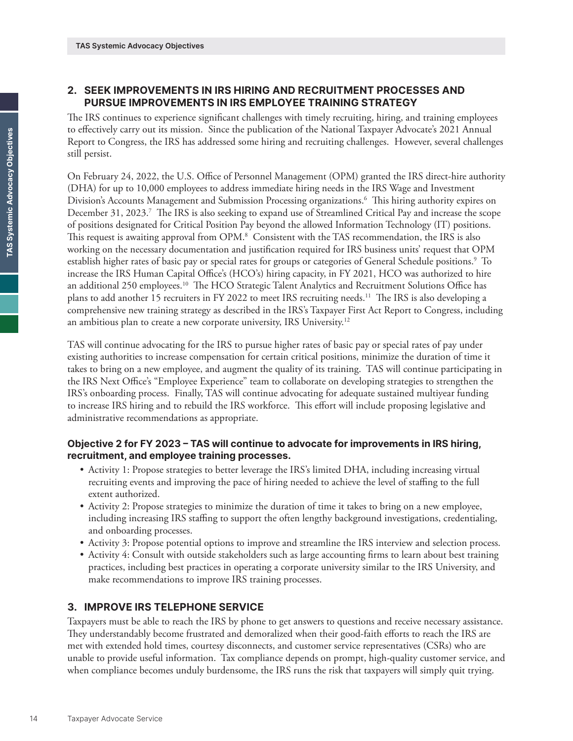# **2. SEEK IMPROVEMENTS IN IRS HIRING AND RECRUITMENT PROCESSES AND PURSUE IMPROVEMENTS IN IRS EMPLOYEE TRAINING STRATEGY**

The IRS continues to experience significant challenges with timely recruiting, hiring, and training employees to effectively carry out its mission. Since the publication of the National Taxpayer Advocate's 2021 Annual Report to Congress, the IRS has addressed some hiring and recruiting challenges. However, several challenges still persist.

On February 24, 2022, the U.S. Office of Personnel Management (OPM) granted the IRS direct-hire authority (DHA) for up to 10,000 employees to address immediate hiring needs in the IRS Wage and Investment Division's Accounts Management and Submission Processing organizations.6 This hiring authority expires on December 31, 2023.<sup>7</sup> The IRS is also seeking to expand use of Streamlined Critical Pay and increase the scope of positions designated for Critical Position Pay beyond the allowed Information Technology (IT) positions. This request is awaiting approval from OPM.8 Consistent with the TAS recommendation, the IRS is also working on the necessary documentation and justification required for IRS business units' request that OPM establish higher rates of basic pay or special rates for groups or categories of General Schedule positions.9 To increase the IRS Human Capital Office's (HCO's) hiring capacity, in FY 2021, HCO was authorized to hire an additional 250 employees.10 The HCO Strategic Talent Analytics and Recruitment Solutions Office has plans to add another 15 recruiters in FY 2022 to meet IRS recruiting needs.11 The IRS is also developing a comprehensive new training strategy as described in the IRS's Taxpayer First Act Report to Congress, including an ambitious plan to create a new corporate university, IRS University.<sup>12</sup>

TAS will continue advocating for the IRS to pursue higher rates of basic pay or special rates of pay under existing authorities to increase compensation for certain critical positions, minimize the duration of time it takes to bring on a new employee, and augment the quality of its training. TAS will continue participating in the IRS Next Office's "Employee Experience" team to collaborate on developing strategies to strengthen the IRS's onboarding process. Finally, TAS will continue advocating for adequate sustained multiyear funding to increase IRS hiring and to rebuild the IRS workforce. This effort will include proposing legislative and administrative recommendations as appropriate.

## **Objective 2 for FY 2023 – TAS will continue to advocate for improvements in IRS hiring, recruitment, and employee training processes.**

- Activity 1: Propose strategies to better leverage the IRS's limited DHA, including increasing virtual recruiting events and improving the pace of hiring needed to achieve the level of staffing to the full extent authorized.
- Activity 2: Propose strategies to minimize the duration of time it takes to bring on a new employee, including increasing IRS staffing to support the often lengthy background investigations, credentialing, and onboarding processes.
- Activity 3: Propose potential options to improve and streamline the IRS interview and selection process.
- Activity 4: Consult with outside stakeholders such as large accounting firms to learn about best training practices, including best practices in operating a corporate university similar to the IRS University, and make recommendations to improve IRS training processes.

## **3. IMPROVE IRS TELEPHONE SERVICE**

Taxpayers must be able to reach the IRS by phone to get answers to questions and receive necessary assistance. They understandably become frustrated and demoralized when their good-faith efforts to reach the IRS are met with extended hold times, courtesy disconnects, and customer service representatives (CSRs) who are unable to provide useful information. Tax compliance depends on prompt, high-quality customer service, and when compliance becomes unduly burdensome, the IRS runs the risk that taxpayers will simply quit trying.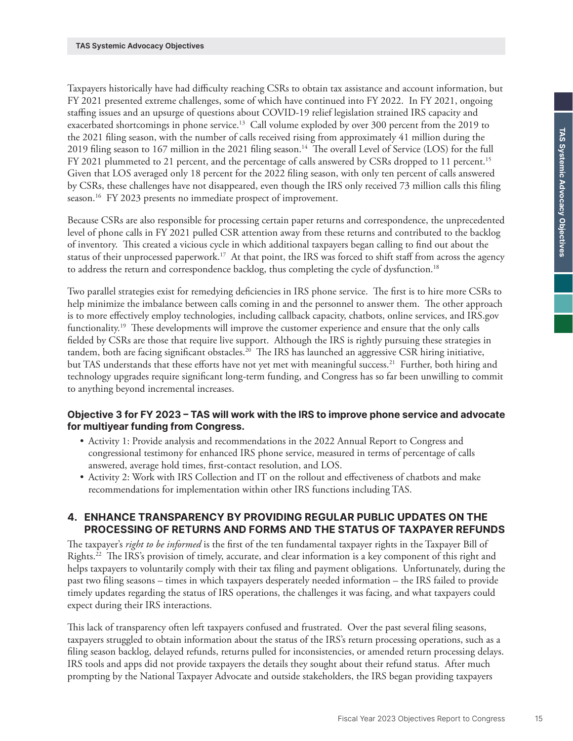Taxpayers historically have had difficulty reaching CSRs to obtain tax assistance and account information, but FY 2021 presented extreme challenges, some of which have continued into FY 2022. In FY 2021, ongoing staffing issues and an upsurge of questions about COVID-19 relief legislation strained IRS capacity and exacerbated shortcomings in phone service.<sup>13</sup> Call volume exploded by over 300 percent from the 2019 to the 2021 filing season, with the number of calls received rising from approximately 41 million during the 2019 filing season to 167 million in the 2021 filing season.<sup>14</sup> The overall Level of Service (LOS) for the full FY 2021 plummeted to 21 percent, and the percentage of calls answered by CSRs dropped to 11 percent.<sup>15</sup> Given that LOS averaged only 18 percent for the 2022 filing season, with only ten percent of calls answered by CSRs, these challenges have not disappeared, even though the IRS only received 73 million calls this filing season.<sup>16</sup> FY 2023 presents no immediate prospect of improvement.

Because CSRs are also responsible for processing certain paper returns and correspondence, the unprecedented level of phone calls in FY 2021 pulled CSR attention away from these returns and contributed to the backlog of inventory. This created a vicious cycle in which additional taxpayers began calling to find out about the status of their unprocessed paperwork.<sup>17</sup> At that point, the IRS was forced to shift staff from across the agency to address the return and correspondence backlog, thus completing the cycle of dysfunction.<sup>18</sup>

Two parallel strategies exist for remedying deficiencies in IRS phone service. The first is to hire more CSRs to help minimize the imbalance between calls coming in and the personnel to answer them. The other approach is to more effectively employ technologies, including callback capacity, chatbots, online services, and IRS.gov functionality.19 These developments will improve the customer experience and ensure that the only calls fielded by CSRs are those that require live support. Although the IRS is rightly pursuing these strategies in tandem, both are facing significant obstacles.20 The IRS has launched an aggressive CSR hiring initiative, but TAS understands that these efforts have not yet met with meaningful success.<sup>21</sup> Further, both hiring and technology upgrades require significant long-term funding, and Congress has so far been unwilling to commit to anything beyond incremental increases.

## **Objective 3 for FY 2023 – TAS will work with the IRS to improve phone service and advocate for multiyear funding from Congress.**

- Activity 1: Provide analysis and recommendations in the 2022 Annual Report to Congress and congressional testimony for enhanced IRS phone service, measured in terms of percentage of calls answered, average hold times, first-contact resolution, and LOS.
- Activity 2: Work with IRS Collection and IT on the rollout and effectiveness of chatbots and make recommendations for implementation within other IRS functions including TAS.

## **4. ENHANCE TRANSPARENCY BY PROVIDING REGULAR PUBLIC UPDATES ON THE PROCESSING OF RETURNS AND FORMS AND THE STATUS OF TAXPAYER REFUNDS**

The taxpayer's *right to be informed* is the first of the ten fundamental taxpayer rights in the Taxpayer Bill of Rights.22 The IRS's provision of timely, accurate, and clear information is a key component of this right and helps taxpayers to voluntarily comply with their tax filing and payment obligations. Unfortunately, during the past two filing seasons – times in which taxpayers desperately needed information – the IRS failed to provide timely updates regarding the status of IRS operations, the challenges it was facing, and what taxpayers could expect during their IRS interactions.

This lack of transparency often left taxpayers confused and frustrated. Over the past several filing seasons, taxpayers struggled to obtain information about the status of the IRS's return processing operations, such as a filing season backlog, delayed refunds, returns pulled for inconsistencies, or amended return processing delays. IRS tools and apps did not provide taxpayers the details they sought about their refund status. After much prompting by the National Taxpayer Advocate and outside stakeholders, the IRS began providing taxpayers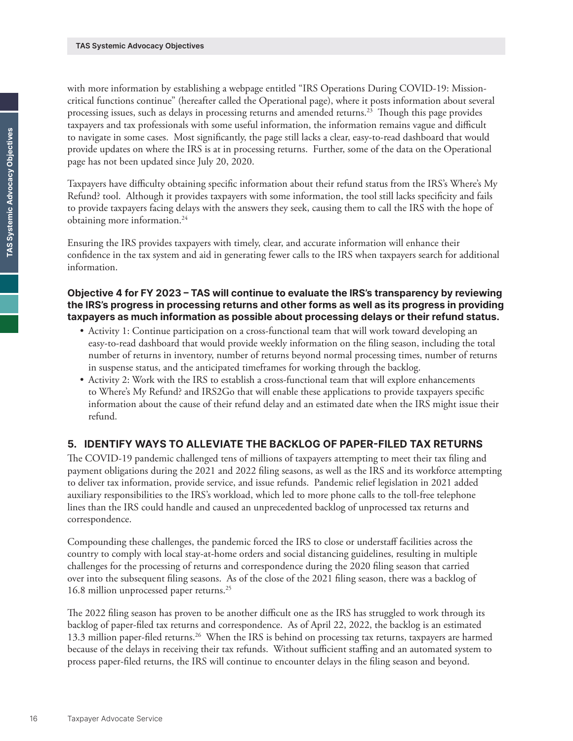with more information by establishing a webpage entitled "IRS Operations During COVID-19: Missioncritical functions continue" (hereafter called the Operational page), where it posts information about several processing issues, such as delays in processing returns and amended returns.<sup>23</sup> Though this page provides taxpayers and tax professionals with some useful information, the information remains vague and difficult to navigate in some cases. Most significantly, the page still lacks a clear, easy-to-read dashboard that would provide updates on where the IRS is at in processing returns. Further, some of the data on the Operational page has not been updated since July 20, 2020.

Taxpayers have difficulty obtaining specific information about their refund status from the IRS's Where's My Refund? tool. Although it provides taxpayers with some information, the tool still lacks specificity and fails to provide taxpayers facing delays with the answers they seek, causing them to call the IRS with the hope of obtaining more information.<sup>24</sup>

Ensuring the IRS provides taxpayers with timely, clear, and accurate information will enhance their confidence in the tax system and aid in generating fewer calls to the IRS when taxpayers search for additional information.

#### **Objective 4 for FY 2023 – TAS will continue to evaluate the IRS's transparency by reviewing the IRS's progress in processing returns and other forms as well as its progress in providing taxpayers as much information as possible about processing delays or their refund status.**

- Activity 1: Continue participation on a cross-functional team that will work toward developing an easy-to-read dashboard that would provide weekly information on the filing season, including the total number of returns in inventory, number of returns beyond normal processing times, number of returns in suspense status, and the anticipated timeframes for working through the backlog.
- Activity 2: Work with the IRS to establish a cross-functional team that will explore enhancements to Where's My Refund? and IRS2Go that will enable these applications to provide taxpayers specific information about the cause of their refund delay and an estimated date when the IRS might issue their refund.

## **5. IDENTIFY WAYS TO ALLEVIATE THE BACKLOG OF PAPER-FILED TAX RETURNS**

The COVID-19 pandemic challenged tens of millions of taxpayers attempting to meet their tax filing and payment obligations during the 2021 and 2022 filing seasons, as well as the IRS and its workforce attempting to deliver tax information, provide service, and issue refunds. Pandemic relief legislation in 2021 added auxiliary responsibilities to the IRS's workload, which led to more phone calls to the toll-free telephone lines than the IRS could handle and caused an unprecedented backlog of unprocessed tax returns and correspondence.

Compounding these challenges, the pandemic forced the IRS to close or understaff facilities across the country to comply with local stay-at-home orders and social distancing guidelines, resulting in multiple challenges for the processing of returns and correspondence during the 2020 filing season that carried over into the subsequent filing seasons. As of the close of the 2021 filing season, there was a backlog of 16.8 million unprocessed paper returns.25

The 2022 filing season has proven to be another difficult one as the IRS has struggled to work through its backlog of paper-filed tax returns and correspondence. As of April 22, 2022, the backlog is an estimated 13.3 million paper-filed returns.<sup>26</sup> When the IRS is behind on processing tax returns, taxpayers are harmed because of the delays in receiving their tax refunds. Without sufficient staffing and an automated system to process paper-filed returns, the IRS will continue to encounter delays in the filing season and beyond.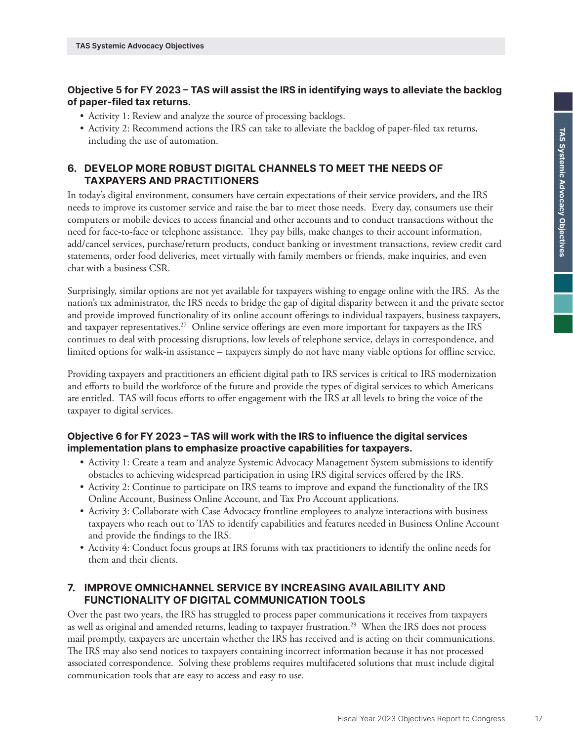## **Objective 5 for FY 2023 – TAS will assist the IRS in identifying ways to alleviate the backlog of paper-filed tax returns.**

- Activity 1: Review and analyze the source of processing backlogs.
- Activity 2: Recommend actions the IRS can take to alleviate the backlog of paper-filed tax returns, including the use of automation.

## **6. DEVELOP MORE ROBUST DIGITAL CHANNELS TO MEET THE NEEDS OF TAXPAYERS AND PRACTITIONERS**

In today's digital environment, consumers have certain expectations of their service providers, and the IRS needs to improve its customer service and raise the bar to meet those needs. Every day, consumers use their computers or mobile devices to access financial and other accounts and to conduct transactions without the need for face-to-face or telephone assistance. They pay bills, make changes to their account information, add/cancel services, purchase/return products, conduct banking or investment transactions, review credit card statements, order food deliveries, meet virtually with family members or friends, make inquiries, and even chat with a business CSR.

Surprisingly, similar options are not yet available for taxpayers wishing to engage online with the IRS. As the nation's tax administrator, the IRS needs to bridge the gap of digital disparity between it and the private sector and provide improved functionality of its online account offerings to individual taxpayers, business taxpayers, and taxpayer representatives.<sup>27</sup> Online service offerings are even more important for taxpayers as the IRS continues to deal with processing disruptions, low levels of telephone service, delays in correspondence, and limited options for walk-in assistance – taxpayers simply do not have many viable options for offline service.

Providing taxpayers and practitioners an efficient digital path to IRS services is critical to IRS modernization and efforts to build the workforce of the future and provide the types of digital services to which Americans are entitled. TAS will focus efforts to offer engagement with the IRS at all levels to bring the voice of the taxpayer to digital services.

## **Objective 6 for FY 2023 – TAS will work with the IRS to influence the digital services implementation plans to emphasize proactive capabilities for taxpayers.**

- Activity 1: Create a team and analyze Systemic Advocacy Management System submissions to identify obstacles to achieving widespread participation in using IRS digital services offered by the IRS.
- Activity 2: Continue to participate on IRS teams to improve and expand the functionality of the IRS Online Account, Business Online Account, and Tax Pro Account applications.
- Activity 3: Collaborate with Case Advocacy frontline employees to analyze interactions with business taxpayers who reach out to TAS to identify capabilities and features needed in Business Online Account and provide the findings to the IRS.
- Activity 4: Conduct focus groups at IRS forums with tax practitioners to identify the online needs for them and their clients.

## **7. IMPROVE OMNICHANNEL SERVICE BY INCREASING AVAILABILITY AND FUNCTIONALITY OF DIGITAL COMMUNICATION TOOLS**

Over the past two years, the IRS has struggled to process paper communications it receives from taxpayers as well as original and amended returns, leading to taxpayer frustration.28 When the IRS does not process mail promptly, taxpayers are uncertain whether the IRS has received and is acting on their communications. The IRS may also send notices to taxpayers containing incorrect information because it has not processed associated correspondence. Solving these problems requires multifaceted solutions that must include digital communication tools that are easy to access and easy to use.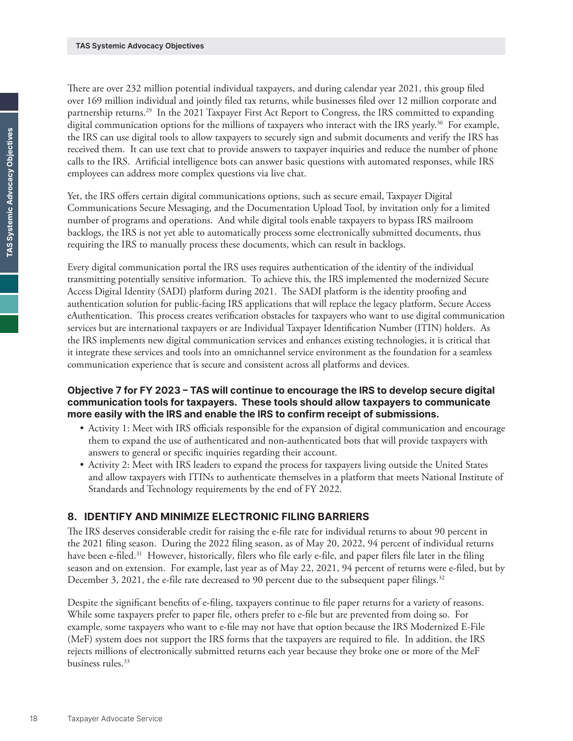There are over 232 million potential individual taxpayers, and during calendar year 2021, this group filed over 169 million individual and jointly filed tax returns, while businesses filed over 12 million corporate and partnership returns.<sup>29</sup> In the 2021 Taxpayer First Act Report to Congress, the IRS committed to expanding digital communication options for the millions of taxpayers who interact with the IRS yearly.<sup>30</sup> For example, the IRS can use digital tools to allow taxpayers to securely sign and submit documents and verify the IRS has received them. It can use text chat to provide answers to taxpayer inquiries and reduce the number of phone calls to the IRS. Artificial intelligence bots can answer basic questions with automated responses, while IRS employees can address more complex questions via live chat.

Yet, the IRS offers certain digital communications options, such as secure email, Taxpayer Digital Communications Secure Messaging, and the Documentation Upload Tool, by invitation only for a limited number of programs and operations. And while digital tools enable taxpayers to bypass IRS mailroom backlogs, the IRS is not yet able to automatically process some electronically submitted documents, thus requiring the IRS to manually process these documents, which can result in backlogs.

Every digital communication portal the IRS uses requires authentication of the identity of the individual transmitting potentially sensitive information. To achieve this, the IRS implemented the modernized Secure Access Digital Identity (SADI) platform during 2021. The SADI platform is the identity proofing and authentication solution for public-facing IRS applications that will replace the legacy platform, Secure Access eAuthentication. This process creates verification obstacles for taxpayers who want to use digital communication services but are international taxpayers or are Individual Taxpayer Identification Number (ITIN) holders. As the IRS implements new digital communication services and enhances existing technologies, it is critical that it integrate these services and tools into an omnichannel service environment as the foundation for a seamless communication experience that is secure and consistent across all platforms and devices.

#### **Objective 7 for FY 2023 – TAS will continue to encourage the IRS to develop secure digital communication tools for taxpayers. These tools should allow taxpayers to communicate more easily with the IRS and enable the IRS to confirm receipt of submissions.**

- Activity 1: Meet with IRS officials responsible for the expansion of digital communication and encourage them to expand the use of authenticated and non-authenticated bots that will provide taxpayers with answers to general or specific inquiries regarding their account.
- Activity 2: Meet with IRS leaders to expand the process for taxpayers living outside the United States and allow taxpayers with ITINs to authenticate themselves in a platform that meets National Institute of Standards and Technology requirements by the end of FY 2022.

## **8. IDENTIFY AND MINIMIZE ELECTRONIC FILING BARRIERS**

The IRS deserves considerable credit for raising the e-file rate for individual returns to about 90 percent in the 2021 filing season. During the 2022 filing season, as of May 20, 2022, 94 percent of individual returns have been e-filed.<sup>31</sup> However, historically, filers who file early e-file, and paper filers file later in the filing season and on extension. For example, last year as of May 22, 2021, 94 percent of returns were e-filed, but by December 3, 2021, the e-file rate decreased to 90 percent due to the subsequent paper filings.<sup>32</sup>

Despite the significant benefits of e-filing, taxpayers continue to file paper returns for a variety of reasons. While some taxpayers prefer to paper file, others prefer to e-file but are prevented from doing so. For example, some taxpayers who want to e-file may not have that option because the IRS Modernized E-File (MeF) system does not support the IRS forms that the taxpayers are required to file. In addition, the IRS rejects millions of electronically submitted returns each year because they broke one or more of the MeF business rules.<sup>33</sup>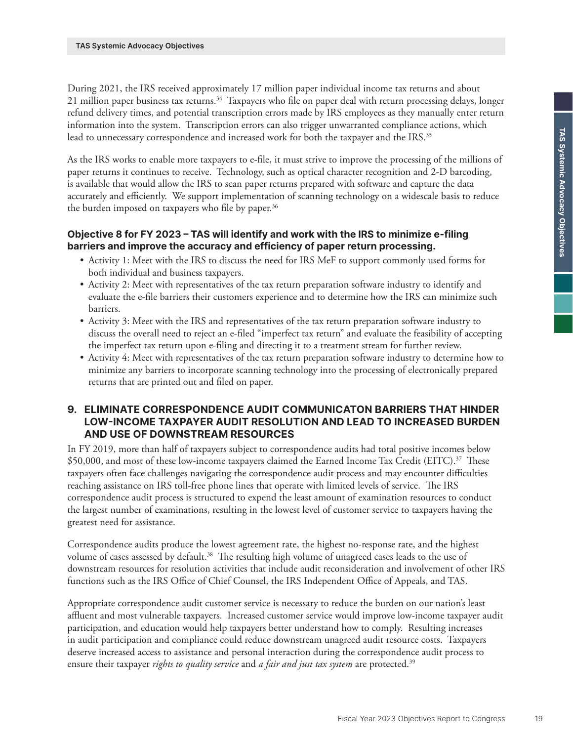During 2021, the IRS received approximately 17 million paper individual income tax returns and about 21 million paper business tax returns.34 Taxpayers who file on paper deal with return processing delays, longer refund delivery times, and potential transcription errors made by IRS employees as they manually enter return information into the system. Transcription errors can also trigger unwarranted compliance actions, which lead to unnecessary correspondence and increased work for both the taxpayer and the IRS.<sup>35</sup>

As the IRS works to enable more taxpayers to e-file, it must strive to improve the processing of the millions of paper returns it continues to receive. Technology, such as optical character recognition and 2-D barcoding, is available that would allow the IRS to scan paper returns prepared with software and capture the data accurately and efficiently. We support implementation of scanning technology on a widescale basis to reduce the burden imposed on taxpayers who file by paper.<sup>36</sup>

## **Objective 8 for FY 2023 – TAS will identify and work with the IRS to minimize e-filing barriers and improve the accuracy and efficiency of paper return processing.**

- Activity 1: Meet with the IRS to discuss the need for IRS MeF to support commonly used forms for both individual and business taxpayers.
- Activity 2: Meet with representatives of the tax return preparation software industry to identify and evaluate the e-file barriers their customers experience and to determine how the IRS can minimize such barriers.
- Activity 3: Meet with the IRS and representatives of the tax return preparation software industry to discuss the overall need to reject an e-filed "imperfect tax return" and evaluate the feasibility of accepting the imperfect tax return upon e-filing and directing it to a treatment stream for further review.
- Activity 4: Meet with representatives of the tax return preparation software industry to determine how to minimize any barriers to incorporate scanning technology into the processing of electronically prepared returns that are printed out and filed on paper.

#### **9. ELIMINATE CORRESPONDENCE AUDIT COMMUNICATON BARRIERS THAT HINDER LOW-INCOME TAXPAYER AUDIT RESOLUTION AND LEAD TO INCREASED BURDEN AND USE OF DOWNSTREAM RESOURCES**

In FY 2019, more than half of taxpayers subject to correspondence audits had total positive incomes below \$50,000, and most of these low-income taxpayers claimed the Earned Income Tax Credit (EITC).<sup>37</sup> These taxpayers often face challenges navigating the correspondence audit process and may encounter difficulties reaching assistance on IRS toll-free phone lines that operate with limited levels of service. The IRS correspondence audit process is structured to expend the least amount of examination resources to conduct the largest number of examinations, resulting in the lowest level of customer service to taxpayers having the greatest need for assistance.

Correspondence audits produce the lowest agreement rate, the highest no-response rate, and the highest volume of cases assessed by default.<sup>38</sup> The resulting high volume of unagreed cases leads to the use of downstream resources for resolution activities that include audit reconsideration and involvement of other IRS functions such as the IRS Office of Chief Counsel, the IRS Independent Office of Appeals, and TAS.

Appropriate correspondence audit customer service is necessary to reduce the burden on our nation's least affluent and most vulnerable taxpayers. Increased customer service would improve low-income taxpayer audit participation, and education would help taxpayers better understand how to comply. Resulting increases in audit participation and compliance could reduce downstream unagreed audit resource costs. Taxpayers deserve increased access to assistance and personal interaction during the correspondence audit process to ensure their taxpayer *rights to quality service* and *a fair and just tax system* are protected.39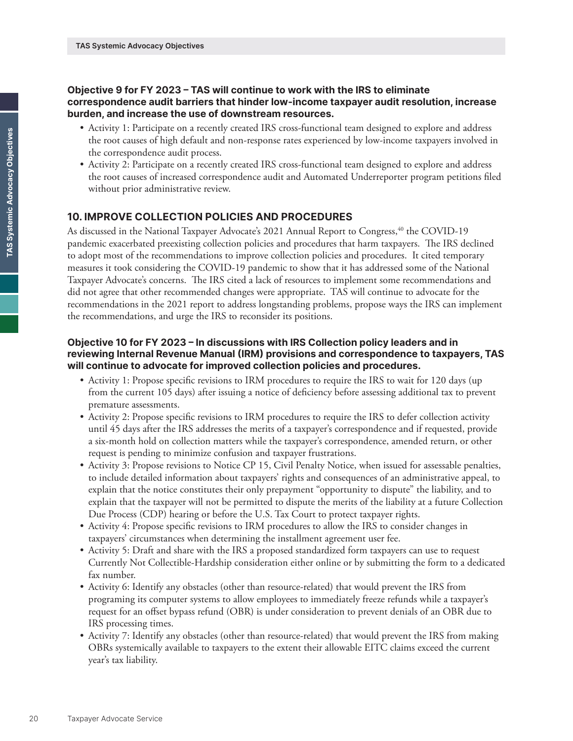#### **Objective 9 for FY 2023 – TAS will continue to work with the IRS to eliminate correspondence audit barriers that hinder low-income taxpayer audit resolution, increase burden, and increase the use of downstream resources.**

- Activity 1: Participate on a recently created IRS cross-functional team designed to explore and address the root causes of high default and non-response rates experienced by low-income taxpayers involved in the correspondence audit process.
- Activity 2: Participate on a recently created IRS cross-functional team designed to explore and address the root causes of increased correspondence audit and Automated Underreporter program petitions filed without prior administrative review.

## **10. IMPROVE COLLECTION POLICIES AND PROCEDURES**

As discussed in the National Taxpayer Advocate's 2021 Annual Report to Congress,<sup>40</sup> the COVID-19 pandemic exacerbated preexisting collection policies and procedures that harm taxpayers. The IRS declined to adopt most of the recommendations to improve collection policies and procedures. It cited temporary measures it took considering the COVID-19 pandemic to show that it has addressed some of the National Taxpayer Advocate's concerns. The IRS cited a lack of resources to implement some recommendations and did not agree that other recommended changes were appropriate. TAS will continue to advocate for the recommendations in the 2021 report to address longstanding problems, propose ways the IRS can implement the recommendations, and urge the IRS to reconsider its positions.

### **Objective 10 for FY 2023 – In discussions with IRS Collection policy leaders and in reviewing Internal Revenue Manual (IRM) provisions and correspondence to taxpayers, TAS will continue to advocate for improved collection policies and procedures.**

- Activity 1: Propose specific revisions to IRM procedures to require the IRS to wait for 120 days (up from the current 105 days) after issuing a notice of deficiency before assessing additional tax to prevent premature assessments.
- Activity 2: Propose specific revisions to IRM procedures to require the IRS to defer collection activity until 45 days after the IRS addresses the merits of a taxpayer's correspondence and if requested, provide a six-month hold on collection matters while the taxpayer's correspondence, amended return, or other request is pending to minimize confusion and taxpayer frustrations.
- Activity 3: Propose revisions to Notice CP 15, Civil Penalty Notice, when issued for assessable penalties, to include detailed information about taxpayers' rights and consequences of an administrative appeal, to explain that the notice constitutes their only prepayment "opportunity to dispute" the liability, and to explain that the taxpayer will not be permitted to dispute the merits of the liability at a future Collection Due Process (CDP) hearing or before the U.S. Tax Court to protect taxpayer rights.
- Activity 4: Propose specific revisions to IRM procedures to allow the IRS to consider changes in taxpayers' circumstances when determining the installment agreement user fee.
- Activity 5: Draft and share with the IRS a proposed standardized form taxpayers can use to request Currently Not Collectible-Hardship consideration either online or by submitting the form to a dedicated fax number.
- Activity 6: Identify any obstacles (other than resource-related) that would prevent the IRS from programing its computer systems to allow employees to immediately freeze refunds while a taxpayer's request for an offset bypass refund (OBR) is under consideration to prevent denials of an OBR due to IRS processing times.
- Activity 7: Identify any obstacles (other than resource-related) that would prevent the IRS from making OBRs systemically available to taxpayers to the extent their allowable EITC claims exceed the current year's tax liability.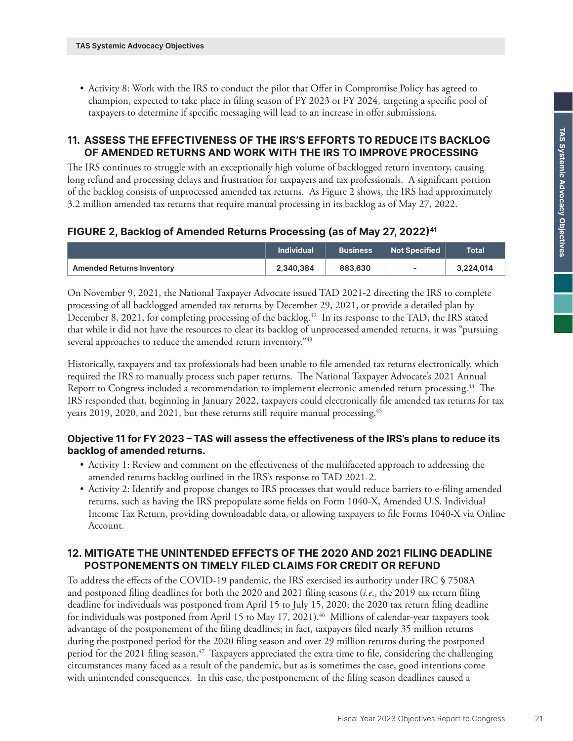• Activity 8: Work with the IRS to conduct the pilot that Offer in Compromise Policy has agreed to champion, expected to take place in filing season of FY 2023 or FY 2024, targeting a specific pool of taxpayers to determine if specific messaging will lead to an increase in offer submissions.

#### **11. ASSESS THE EFFECTIVENESS OF THE IRS'S EFFORTS TO REDUCE ITS BACKLOG OF AMENDED RETURNS AND WORK WITH THE IRS TO IMPROVE PROCESSING**

The IRS continues to struggle with an exceptionally high volume of backlogged return inventory, causing long refund and processing delays and frustration for taxpayers and tax professionals. A significant portion of the backlog consists of unprocessed amended tax returns. As Figure 2 shows, the IRS had approximately 3.2 million amended tax returns that require manual processing in its backlog as of May 27, 2022.

#### **FIGURE 2, Backlog of Amended Returns Processing (as of May 27, 2022)41**

|                           | <b>Individual</b> | <b>Business</b> | <b>Not Specified</b>     | Total     |
|---------------------------|-------------------|-----------------|--------------------------|-----------|
| Amended Returns Inventory | 2.340.384         | 883,630         | $\overline{\phantom{a}}$ | 3,224,014 |

On November 9, 2021, the National Taxpayer Advocate issued TAD 2021-2 directing the IRS to complete processing of all backlogged amended tax returns by December 29, 2021, or provide a detailed plan by December 8, 2021, for completing processing of the backlog.<sup>42</sup> In its response to the TAD, the IRS stated that while it did not have the resources to clear its backlog of unprocessed amended returns, it was "pursuing several approaches to reduce the amended return inventory.<sup>"43</sup>

Historically, taxpayers and tax professionals had been unable to file amended tax returns electronically, which required the IRS to manually process such paper returns. The National Taxpayer Advocate's 2021 Annual Report to Congress included a recommendation to implement electronic amended return processing.44 The IRS responded that, beginning in January 2022, taxpayers could electronically file amended tax returns for tax years 2019, 2020, and 2021, but these returns still require manual processing.<sup>45</sup>

#### **Objective 11 for FY 2023 – TAS will assess the effectiveness of the IRS's plans to reduce its backlog of amended returns.**

- Activity 1: Review and comment on the effectiveness of the multifaceted approach to addressing the amended returns backlog outlined in the IRS's response to TAD 2021-2.
- Activity 2: Identify and propose changes to IRS processes that would reduce barriers to e-filing amended returns, such as having the IRS prepopulate some fields on Form 1040-X, Amended U.S. Individual Income Tax Return, providing downloadable data, or allowing taxpayers to file Forms 1040-X via Online Account.

## **12. MITIGATE THE UNINTENDED EFFECTS OF THE 2020 AND 2021 FILING DEADLINE POSTPONEMENTS ON TIMELY FILED CLAIMS FOR CREDIT OR REFUND**

To address the effects of the COVID-19 pandemic, the IRS exercised its authority under IRC § 7508A and postponed filing deadlines for both the 2020 and 2021 filing seasons (*i.e*., the 2019 tax return filing deadline for individuals was postponed from April 15 to July 15, 2020; the 2020 tax return filing deadline for individuals was postponed from April 15 to May 17, 2021).<sup>46</sup> Millions of calendar-year taxpayers took advantage of the postponement of the filing deadlines; in fact, taxpayers filed nearly 35 million returns during the postponed period for the 2020 filing season and over 29 million returns during the postponed period for the 2021 filing season.<sup>47</sup> Taxpayers appreciated the extra time to file, considering the challenging circumstances many faced as a result of the pandemic, but as is sometimes the case, good intentions come with unintended consequences. In this case, the postponement of the filing season deadlines caused a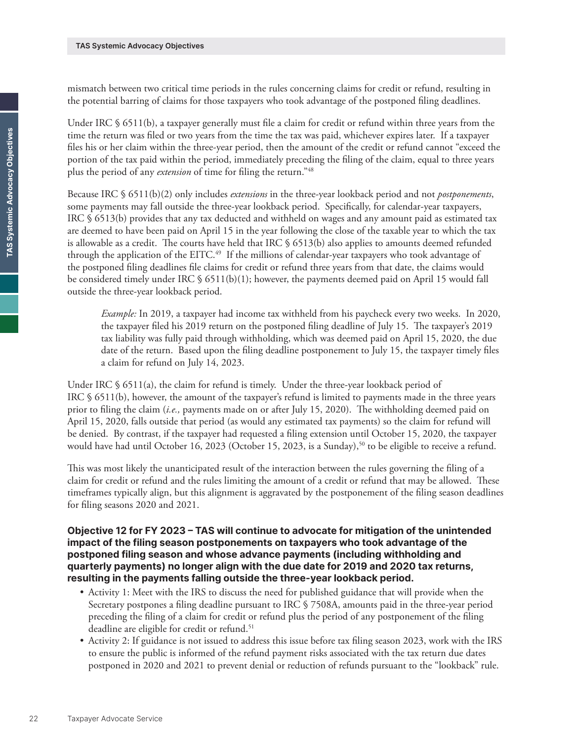mismatch between two critical time periods in the rules concerning claims for credit or refund, resulting in the potential barring of claims for those taxpayers who took advantage of the postponed filing deadlines.

Under IRC § 6511(b), a taxpayer generally must file a claim for credit or refund within three years from the time the return was filed or two years from the time the tax was paid, whichever expires later. If a taxpayer files his or her claim within the three-year period, then the amount of the credit or refund cannot "exceed the portion of the tax paid within the period, immediately preceding the filing of the claim, equal to three years plus the period of any *extension* of time for filing the return."48

Because IRC § 6511(b)(2) only includes *extensions* in the three-year lookback period and not *postponements*, some payments may fall outside the three-year lookback period. Specifically, for calendar-year taxpayers, IRC § 6513(b) provides that any tax deducted and withheld on wages and any amount paid as estimated tax are deemed to have been paid on April 15 in the year following the close of the taxable year to which the tax is allowable as a credit. The courts have held that IRC § 6513(b) also applies to amounts deemed refunded through the application of the EITC.<sup>49</sup> If the millions of calendar-year taxpayers who took advantage of the postponed filing deadlines file claims for credit or refund three years from that date, the claims would be considered timely under IRC § 6511(b)(1); however, the payments deemed paid on April 15 would fall outside the three-year lookback period.

*Example:* In 2019, a taxpayer had income tax withheld from his paycheck every two weeks. In 2020, the taxpayer filed his 2019 return on the postponed filing deadline of July 15. The taxpayer's 2019 tax liability was fully paid through withholding, which was deemed paid on April 15, 2020, the due date of the return. Based upon the filing deadline postponement to July 15, the taxpayer timely files a claim for refund on July 14, 2023.

Under IRC  $\S$  6511(a), the claim for refund is timely. Under the three-year lookback period of IRC § 6511(b), however, the amount of the taxpayer's refund is limited to payments made in the three years prior to filing the claim (*i.e.,* payments made on or after July 15, 2020). The withholding deemed paid on April 15, 2020, falls outside that period (as would any estimated tax payments) so the claim for refund will be denied. By contrast, if the taxpayer had requested a filing extension until October 15, 2020, the taxpayer would have had until October 16, 2023 (October 15, 2023, is a Sunday),<sup>50</sup> to be eligible to receive a refund.

This was most likely the unanticipated result of the interaction between the rules governing the filing of a claim for credit or refund and the rules limiting the amount of a credit or refund that may be allowed. These timeframes typically align, but this alignment is aggravated by the postponement of the filing season deadlines for filing seasons 2020 and 2021.

**Objective 12 for FY 2023 – TAS will continue to advocate for mitigation of the unintended impact of the filing season postponements on taxpayers who took advantage of the postponed filing season and whose advance payments (including withholding and quarterly payments) no longer align with the due date for 2019 and 2020 tax returns, resulting in the payments falling outside the three-year lookback period.**

- Activity 1: Meet with the IRS to discuss the need for published guidance that will provide when the Secretary postpones a filing deadline pursuant to IRC § 7508A, amounts paid in the three-year period preceding the filing of a claim for credit or refund plus the period of any postponement of the filing deadline are eligible for credit or refund.<sup>51</sup>
- Activity 2: If guidance is not issued to address this issue before tax filing season 2023, work with the IRS to ensure the public is informed of the refund payment risks associated with the tax return due dates postponed in 2020 and 2021 to prevent denial or reduction of refunds pursuant to the "lookback" rule.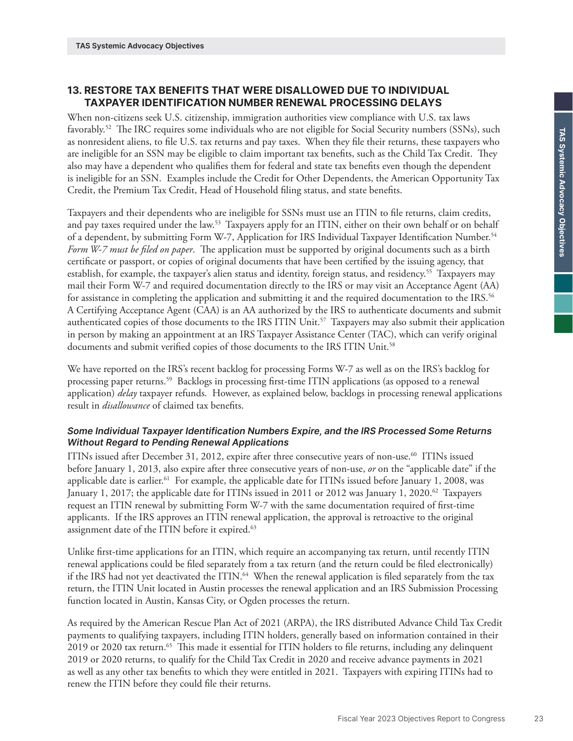## **13. RESTORE TAX BENEFITS THAT WERE DISALLOWED DUE TO INDIVIDUAL TAXPAYER IDENTIFICATION NUMBER RENEWAL PROCESSING DELAYS**

When non-citizens seek U.S. citizenship, immigration authorities view compliance with U.S. tax laws favorably.52 The IRC requires some individuals who are not eligible for Social Security numbers (SSNs), such as nonresident aliens, to file U.S. tax returns and pay taxes. When they file their returns, these taxpayers who are ineligible for an SSN may be eligible to claim important tax benefits, such as the Child Tax Credit. They also may have a dependent who qualifies them for federal and state tax benefits even though the dependent is ineligible for an SSN. Examples include the Credit for Other Dependents, the American Opportunity Tax Credit, the Premium Tax Credit, Head of Household filing status, and state benefits.

Taxpayers and their dependents who are ineligible for SSNs must use an ITIN to file returns, claim credits, and pay taxes required under the law.53 Taxpayers apply for an ITIN, either on their own behalf or on behalf of a dependent, by submitting Form W-7, Application for IRS Individual Taxpayer Identification Number.54 *Form W-7 must be filed on paper*. The application must be supported by original documents such as a birth certificate or passport, or copies of original documents that have been certified by the issuing agency, that establish, for example, the taxpayer's alien status and identity, foreign status, and residency.<sup>55</sup> Taxpayers may mail their Form W-7 and required documentation directly to the IRS or may visit an Acceptance Agent (AA) for assistance in completing the application and submitting it and the required documentation to the IRS.<sup>56</sup> A Certifying Acceptance Agent (CAA) is an AA authorized by the IRS to authenticate documents and submit authenticated copies of those documents to the IRS ITIN Unit.57 Taxpayers may also submit their application in person by making an appointment at an IRS Taxpayer Assistance Center (TAC), which can verify original documents and submit verified copies of those documents to the IRS ITIN Unit.<sup>58</sup>

We have reported on the IRS's recent backlog for processing Forms W-7 as well as on the IRS's backlog for processing paper returns.59 Backlogs in processing first-time ITIN applications (as opposed to a renewal application) *delay* taxpayer refunds. However, as explained below, backlogs in processing renewal applications result in *disallowance* of claimed tax benefits.

#### *Some Individual Taxpayer Identification Numbers Expire, and the IRS Processed Some Returns Without Regard to Pending Renewal Applications*

ITINs issued after December 31, 2012, expire after three consecutive years of non-use.60 ITINs issued before January 1, 2013, also expire after three consecutive years of non-use, *or* on the "applicable date" if the applicable date is earlier.<sup>61</sup> For example, the applicable date for ITINs issued before January 1, 2008, was January 1, 2017; the applicable date for ITINs issued in 2011 or 2012 was January 1, 2020.<sup>62</sup> Taxpayers request an ITIN renewal by submitting Form W-7 with the same documentation required of first-time applicants. If the IRS approves an ITIN renewal application, the approval is retroactive to the original assignment date of the ITIN before it expired.<sup>63</sup>

Unlike first-time applications for an ITIN, which require an accompanying tax return, until recently ITIN renewal applications could be filed separately from a tax return (and the return could be filed electronically) if the IRS had not yet deactivated the ITIN.<sup>64</sup> When the renewal application is filed separately from the tax return, the ITIN Unit located in Austin processes the renewal application and an IRS Submission Processing function located in Austin, Kansas City, or Ogden processes the return.

As required by the American Rescue Plan Act of 2021 (ARPA), the IRS distributed Advance Child Tax Credit payments to qualifying taxpayers, including ITIN holders, generally based on information contained in their 2019 or 2020 tax return.<sup>65</sup> This made it essential for ITIN holders to file returns, including any delinquent 2019 or 2020 returns, to qualify for the Child Tax Credit in 2020 and receive advance payments in 2021 as well as any other tax benefits to which they were entitled in 2021. Taxpayers with expiring ITINs had to renew the ITIN before they could file their returns.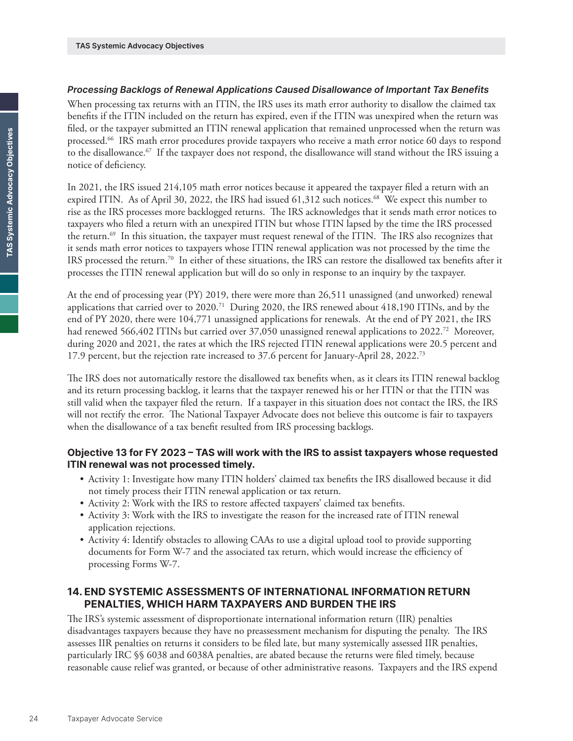#### *Processing Backlogs of Renewal Applications Caused Disallowance of Important Tax Benefits*

When processing tax returns with an ITIN, the IRS uses its math error authority to disallow the claimed tax benefits if the ITIN included on the return has expired, even if the ITIN was unexpired when the return was filed, or the taxpayer submitted an ITIN renewal application that remained unprocessed when the return was processed.66 IRS math error procedures provide taxpayers who receive a math error notice 60 days to respond to the disallowance.<sup>67</sup> If the taxpayer does not respond, the disallowance will stand without the IRS issuing a notice of deficiency.

In 2021, the IRS issued 214,105 math error notices because it appeared the taxpayer filed a return with an expired ITIN. As of April 30, 2022, the IRS had issued 61,312 such notices.<sup>68</sup> We expect this number to rise as the IRS processes more backlogged returns. The IRS acknowledges that it sends math error notices to taxpayers who filed a return with an unexpired ITIN but whose ITIN lapsed by the time the IRS processed the return.<sup>69</sup> In this situation, the taxpayer must request renewal of the ITIN. The IRS also recognizes that it sends math error notices to taxpayers whose ITIN renewal application was not processed by the time the IRS processed the return.70 In either of these situations, the IRS can restore the disallowed tax benefits after it processes the ITIN renewal application but will do so only in response to an inquiry by the taxpayer.

At the end of processing year (PY) 2019, there were more than 26,511 unassigned (and unworked) renewal applications that carried over to 2020.71 During 2020, the IRS renewed about 418,190 ITINs, and by the end of PY 2020, there were 104,771 unassigned applications for renewals. At the end of PY 2021, the IRS had renewed 566,402 ITINs but carried over 37,050 unassigned renewal applications to 2022.<sup>72</sup> Moreover, during 2020 and 2021, the rates at which the IRS rejected ITIN renewal applications were 20.5 percent and 17.9 percent, but the rejection rate increased to 37.6 percent for January-April 28, 2022.<sup>73</sup>

The IRS does not automatically restore the disallowed tax benefits when, as it clears its ITIN renewal backlog and its return processing backlog, it learns that the taxpayer renewed his or her ITIN or that the ITIN was still valid when the taxpayer filed the return. If a taxpayer in this situation does not contact the IRS, the IRS will not rectify the error. The National Taxpayer Advocate does not believe this outcome is fair to taxpayers when the disallowance of a tax benefit resulted from IRS processing backlogs.

## **Objective 13 for FY 2023 – TAS will work with the IRS to assist taxpayers whose requested ITIN renewal was not processed timely.**

- Activity 1: Investigate how many ITIN holders' claimed tax benefits the IRS disallowed because it did not timely process their ITIN renewal application or tax return.
- Activity 2: Work with the IRS to restore affected taxpayers' claimed tax benefits.
- Activity 3: Work with the IRS to investigate the reason for the increased rate of ITIN renewal application rejections.
- Activity 4: Identify obstacles to allowing CAAs to use a digital upload tool to provide supporting documents for Form W-7 and the associated tax return, which would increase the efficiency of processing Forms W-7.

## **14. END SYSTEMIC ASSESSMENTS OF INTERNATIONAL INFORMATION RETURN PENALTIES, WHICH HARM TAXPAYERS AND BURDEN THE IRS**

The IRS's systemic assessment of disproportionate international information return (IIR) penalties disadvantages taxpayers because they have no preassessment mechanism for disputing the penalty. The IRS assesses IIR penalties on returns it considers to be filed late, but many systemically assessed IIR penalties, particularly IRC §§ 6038 and 6038A penalties, are abated because the returns were filed timely, because reasonable cause relief was granted, or because of other administrative reasons. Taxpayers and the IRS expend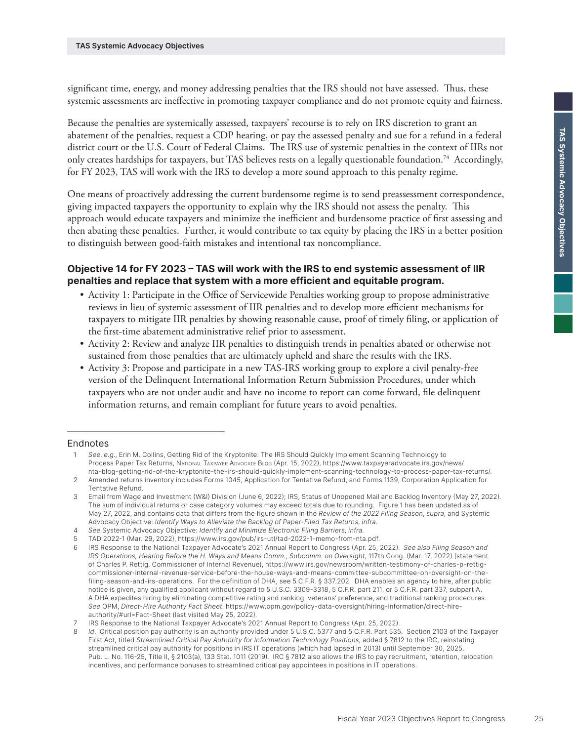significant time, energy, and money addressing penalties that the IRS should not have assessed. Thus, these systemic assessments are ineffective in promoting taxpayer compliance and do not promote equity and fairness.

Because the penalties are systemically assessed, taxpayers' recourse is to rely on IRS discretion to grant an abatement of the penalties, request a CDP hearing, or pay the assessed penalty and sue for a refund in a federal district court or the U.S. Court of Federal Claims. The IRS use of systemic penalties in the context of IIRs not only creates hardships for taxpayers, but TAS believes rests on a legally questionable foundation.74 Accordingly, for FY 2023, TAS will work with the IRS to develop a more sound approach to this penalty regime.

One means of proactively addressing the current burdensome regime is to send preassessment correspondence, giving impacted taxpayers the opportunity to explain why the IRS should not assess the penalty. This approach would educate taxpayers and minimize the inefficient and burdensome practice of first assessing and then abating these penalties. Further, it would contribute to tax equity by placing the IRS in a better position to distinguish between good-faith mistakes and intentional tax noncompliance.

## **Objective 14 for FY 2023 – TAS will work with the IRS to end systemic assessment of IIR penalties and replace that system with a more efficient and equitable program.**

- Activity 1: Participate in the Office of Servicewide Penalties working group to propose administrative reviews in lieu of systemic assessment of IIR penalties and to develop more efficient mechanisms for taxpayers to mitigate IIR penalties by showing reasonable cause, proof of timely filing, or application of the first-time abatement administrative relief prior to assessment.
- Activity 2: Review and analyze IIR penalties to distinguish trends in penalties abated or otherwise not sustained from those penalties that are ultimately upheld and share the results with the IRS.
- Activity 3: Propose and participate in a new TAS-IRS working group to explore a civil penalty-free version of the Delinquent International Information Return Submission Procedures, under which taxpayers who are not under audit and have no income to report can come forward, file delinquent information returns, and remain compliant for future years to avoid penalties.

#### Endnotes

<sup>1</sup> *See*, *e.g*., Erin M. Collins, Getting Rid of the Kryptonite: The IRS Should Quickly Implement Scanning Technology to Process Paper Tax Returns, NATIONAL TAXPAYER ADVOCATE BLOG (Apr. 15, 2022), [https://www.taxpayeradvocate.irs.gov/news/](https://www.taxpayeradvocate.irs.gov/news/nta-blog-getting-rid-of-the-kryptonite-the-irs-should-quickly-implement-scanning-technology-to-process-paper-tax-returns/) [nta-blog-getting-rid-of-the-kryptonite-the-irs-should-quickly-implement-scanning-technology-to-process-paper-tax-returns/.](https://www.taxpayeradvocate.irs.gov/news/nta-blog-getting-rid-of-the-kryptonite-the-irs-should-quickly-implement-scanning-technology-to-process-paper-tax-returns/)

<sup>2</sup> Amended returns inventory includes Forms 1045, Application for Tentative Refund, and Forms 1139, Corporation Application for Tentative Refund.

<sup>3</sup> Email from Wage and Investment (W&I) Division (June 6, 2022); IRS, Status of Unopened Mail and Backlog Inventory (May 27, 2022). The sum of individual returns or case category volumes may exceed totals due to rounding. Figure 1 has been updated as of May 27, 2022, and contains data that differs from the figure shown in the *Review of the 2022 Filing Season*, *supra*, and Systemic Advocacy Objective: *Identify Ways to Alleviate the Backlog of Paper-Filed Tax Returns*, *infra*.

<sup>4</sup> *See* Systemic Advocacy Objective: *Identify and Minimize Electronic Filing Barriers*, *infra*.

<sup>5</sup> TAD 2022-1 (Mar. 29, 2022),<https://www.irs.gov/pub/irs-utl/tad-2022-1-memo-from-nta.pdf>.

<sup>6</sup> IRS Response to the National Taxpayer Advocate's 2021 Annual Report to Congress (Apr. 25, 2022). *See also Filing Season and IRS Operations, Hearing Before the H. Ways and Means Comm., Subcomm. on Oversight*, 117th Cong. (Mar. 17, 2022) (statement of Charles P. Rettig, Commissioner of Internal Revenue), [https://www.irs.gov/newsroom/written-testimony-of-charles-p-rettig](https://www.irs.gov/newsroom/written-testimony-of-charles-p-rettig-commissioner-internal-revenue-service-before-the-house-ways-and-means-committee-subcommittee-on-oversight-on-the-filing-season-and-irs-operations)[commissioner-internal-revenue-service-before-the-house-ways-and-means-committee-subcommittee-on-oversight-on-the](https://www.irs.gov/newsroom/written-testimony-of-charles-p-rettig-commissioner-internal-revenue-service-before-the-house-ways-and-means-committee-subcommittee-on-oversight-on-the-filing-season-and-irs-operations)[filing-season-and-irs-operations](https://www.irs.gov/newsroom/written-testimony-of-charles-p-rettig-commissioner-internal-revenue-service-before-the-house-ways-and-means-committee-subcommittee-on-oversight-on-the-filing-season-and-irs-operations). For the definition of DHA, see 5 C.F.R. § 337.202. DHA enables an agency to hire, after public notice is given, any qualified applicant without regard to 5 U.S.C. 3309-3318, 5 C.F.R. part 211, or 5 C.F.R. part 337, subpart A. A DHA expedites hiring by eliminating competitive rating and ranking, veterans' preference, and traditional ranking procedures. *See* OPM, *Direct-Hire Authority Fact Sheet*, https://www.opm.gov/policy-data-oversight/hiring-information/direct-hireauthority/#url=Fact-Sheet (last visited May 25, 2022).

IRS Response to the National Taxpayer Advocate's 2021 Annual Report to Congress (Apr. 25, 2022).

<sup>8</sup> *Id*. Critical position pay authority is an authority provided under 5 U.S.C. 5377 and 5 C.F.R. Part 535. Section 2103 of the Taxpayer First Act, titled *Streamlined Critical Pay Authority for Information Technology Positions*, added § 7812 to the IRC, reinstating streamlined critical pay authority for positions in IRS IT operations (which had lapsed in 2013) until September 30, 2025. Pub. L. No. 116-25, Title II, § 2103(a), 133 Stat. 1011 (2019). IRC § 7812 also allows the IRS to pay recruitment, retention, relocation incentives, and performance bonuses to streamlined critical pay appointees in positions in IT operations.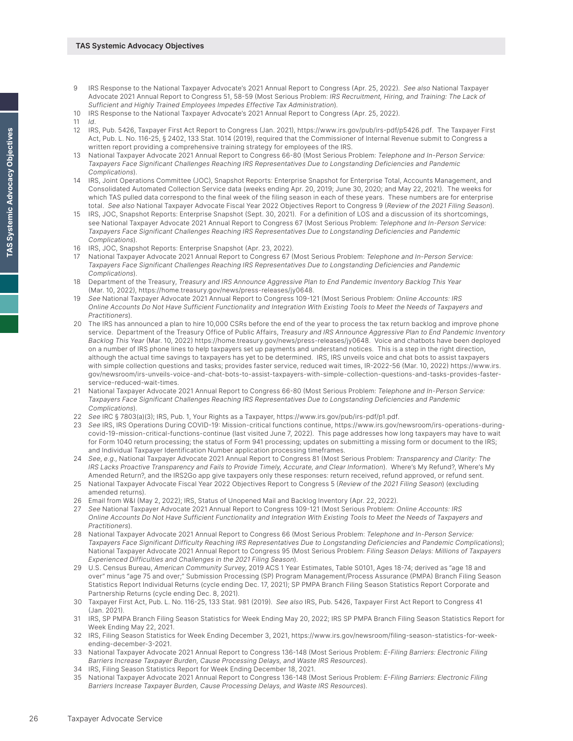#### **TAS Systemic Advocacy Objectives**

- 9 IRS Response to the National Taxpayer Advocate's 2021 Annual Report to Congress (Apr. 25, 2022). *See also* National Taxpayer Advocate 2021 Annual Report to Congress 51, 58-59 (Most Serious Problem: *IRS Recruitment, Hiring, and Training: The Lack of Sufficient and Highly Trained Employees Impedes Effective Tax Administration*).
- 10 IRS Response to the National Taxpayer Advocate's 2021 Annual Report to Congress (Apr. 25, 2022).
- 11 *Id*.
- 12 IRS, Pub. 5426, Taxpayer First Act Report to Congress (Jan. 2021), <https://www.irs.gov/pub/irs-pdf/p5426.pdf>. The Taxpayer First Act, Pub. L. No. 116-25, § 2402, 133 Stat. 1014 (2019), required that the Commissioner of Internal Revenue submit to Congress a written report providing a comprehensive training strategy for employees of the IRS.
- 13 National Taxpayer Advocate 2021 Annual Report to Congress 66-80 (Most Serious Problem: *Telephone and In-Person Service: Taxpayers Face Significant Challenges Reaching IRS Representatives Due to Longstanding Deficiencies and Pandemic Complications*).
- 14 IRS, Joint Operations Committee (JOC), Snapshot Reports: Enterprise Snapshot for Enterprise Total, Accounts Management, and Consolidated Automated Collection Service data (weeks ending Apr. 20, 2019; June 30, 2020; and May 22, 2021). The weeks for which TAS pulled data correspond to the final week of the filing season in each of these years. These numbers are for enterprise total. *See also* National Taxpayer Advocate Fiscal Year 2022 Objectives Report to Congress 9 (*Review of the 2021 Filing Season*).
- 15 IRS, JOC, Snapshot Reports: Enterprise Snapshot (Sept. 30, 2021). For a definition of LOS and a discussion of its shortcomings, see National Taxpayer Advocate 2021 Annual Report to Congress 67 (Most Serious Problem: *Telephone and In-Person Service: Taxpayers Face Significant Challenges Reaching IRS Representatives Due to Longstanding Deficiencies and Pandemic Complications*).
- 16 IRS, JOC, Snapshot Reports: Enterprise Snapshot (Apr. 23, 2022).
- 17 National Taxpayer Advocate 2021 Annual Report to Congress 67 (Most Serious Problem: *Telephone and In-Person Service: Taxpayers Face Significant Challenges Reaching IRS Representatives Due to Longstanding Deficiencies and Pandemic Complications*).
- 18 Department of the Treasury, *Treasury and IRS Announce Aggressive Plan to End Pandemic Inventory Backlog This Year* (Mar. 10, 2022),<https://home.treasury.gov/news/press-releases/jy0648>.
- 19 *See* National Taxpayer Advocate 2021 Annual Report to Congress 109-121 (Most Serious Problem: *Online Accounts: IRS Online Accounts Do Not Have Sufficient Functionality and Integration With Existing Tools to Meet the Needs of Taxpayers and Practitioners*).
- 20 The IRS has announced a plan to hire 10,000 CSRs before the end of the year to process the tax return backlog and improve phone service. Department of the Treasury Office of Public Affairs, *Treasury and IRS Announce Aggressive Plan to End Pandemic Inventory Backlog This Year* (Mar. 10, 2022)<https://home.treasury.gov/news/press-releases/jy0648>. Voice and chatbots have been deployed on a number of IRS phone lines to help taxpayers set up payments and understand notices. This is a step in the right direction, although the actual time savings to taxpayers has yet to be determined. IRS, IRS unveils voice and chat bots to assist taxpayers with simple collection questions and tasks; provides faster service, reduced wait times, IR-2022-56 (Mar. 10, 2022) [https://www.irs.](https://www.irs.gov/newsroom/irs-unveils-voice-and-chat-bots-to-assist-taxpayers-with-simple-collection-questions-and-tasks-provides-faster-service-reduced-wait-times) [gov/newsroom/irs-unveils-voice-and-chat-bots-to-assist-taxpayers-with-simple-collection-questions-and-tasks-provides-faster](https://www.irs.gov/newsroom/irs-unveils-voice-and-chat-bots-to-assist-taxpayers-with-simple-collection-questions-and-tasks-provides-faster-service-reduced-wait-times)[service-reduced-wait-times.](https://www.irs.gov/newsroom/irs-unveils-voice-and-chat-bots-to-assist-taxpayers-with-simple-collection-questions-and-tasks-provides-faster-service-reduced-wait-times)
- 21 National Taxpayer Advocate 2021 Annual Report to Congress 66-80 (Most Serious Problem: *Telephone and In-Person Service: Taxpayers Face Significant Challenges Reaching IRS Representatives Due to Longstanding Deficiencies and Pandemic Complications*).
- 22 *See* IRC § 7803(a)(3); IRS, Pub. 1, Your Rights as a Taxpayer, <https://www.irs.gov/pub/irs-pdf/p1.pdf>.
- 23 *See* IRS, IRS Operations During COVID-19: Mission-critical functions continue, [https://www.irs.gov/newsroom/irs-operations-during](https://www.irs.gov/newsroom/irs-operations-during-covid-19-mission-critical-functions-continue)[covid-19-mission-critical-functions-continue](https://www.irs.gov/newsroom/irs-operations-during-covid-19-mission-critical-functions-continue) (last visited June 7, 2022). This page addresses how long taxpayers may have to wait for Form 1040 return processing; the status of Form 941 processing; updates on submitting a missing form or document to the IRS; and Individual Taxpayer Identification Number application processing timeframes.
- 24 *See*, *e.g*., National Taxpayer Advocate 2021 Annual Report to Congress 81 (Most Serious Problem: *Transparency and Clarity: The IRS Lacks Proactive Transparency and Fails to Provide Timely, Accurate, and Clear Information*). Where's My Refund?, Where's My Amended Return?, and the IRS2Go app give taxpayers only these responses: return received, refund approved, or refund sent.
- 25 National Taxpayer Advocate Fiscal Year 2022 Objectives Report to Congress 5 (*Review of the 2021 Filing Season*) (excluding amended returns).
- 26 Email from W&I (May 2, 2022); IRS, Status of Unopened Mail and Backlog Inventory (Apr. 22, 2022).
- 27 *See* National Taxpayer Advocate 2021 Annual Report to Congress 109-121 (Most Serious Problem: *Online Accounts: IRS Online Accounts Do Not Have Sufficient Functionality and Integration With Existing Tools to Meet the Needs of Taxpayers and Practitioners*).
- 28 National Taxpayer Advocate 2021 Annual Report to Congress 66 (Most Serious Problem: *Telephone and In-Person Service: Taxpayers Face Significant Difficulty Reaching IRS Representatives Due to Longstanding Deficiencies and Pandemic Complications*); National Taxpayer Advocate 2021 Annual Report to Congress 95 (Most Serious Problem: *Filing Season Delays: Millions of Taxpayers Experienced Difficulties and Challenges in the 2021 Filing Season*).
- 29 U.S. Census Bureau, *American Community Survey*, 2019 ACS 1 Year Estimates, Table S0101, Ages 18-74; derived as "age 18 and over" minus "age 75 and over;" Submission Processing (SP) Program Management/Process Assurance (PMPA) Branch Filing Season Statistics Report Individual Returns (cycle ending Dec. 17, 2021); SP PMPA Branch Filing Season Statistics Report Corporate and Partnership Returns (cycle ending Dec. 8, 2021).
- 30 Taxpayer First Act, Pub. L. No. 116-25, 133 Stat. 981 (2019). *See also* IRS, Pub. 5426, Taxpayer First Act Report to Congress 41 (Jan. 2021).
- 31 IRS, SP PMPA Branch Filing Season Statistics for Week Ending May 20, 2022; IRS SP PMPA Branch Filing Season Statistics Report for Week Ending May 22, 2021.
- 32 IRS, Filing Season Statistics for Week Ending December 3, 2021, [https://www.irs.gov/newsroom/filing-season-statistics-for-week](https://www.irs.gov/newsroom/filing-season-statistics-for-week-ending-december-3-2021)[ending-december-3-2021](https://www.irs.gov/newsroom/filing-season-statistics-for-week-ending-december-3-2021).
- 33 National Taxpayer Advocate 2021 Annual Report to Congress 136-148 (Most Serious Problem: *E-Filing Barriers: Electronic Filing Barriers Increase Taxpayer Burden, Cause Processing Delays, and Waste IRS Resources*).
- 34 IRS, Filing Season Statistics Report for Week Ending December 18, 2021.
- 35 National Taxpayer Advocate 2021 Annual Report to Congress 136-148 (Most Serious Problem: *E-Filing Barriers: Electronic Filing Barriers Increase Taxpayer Burden, Cause Processing Delays, and Waste IRS Resources*).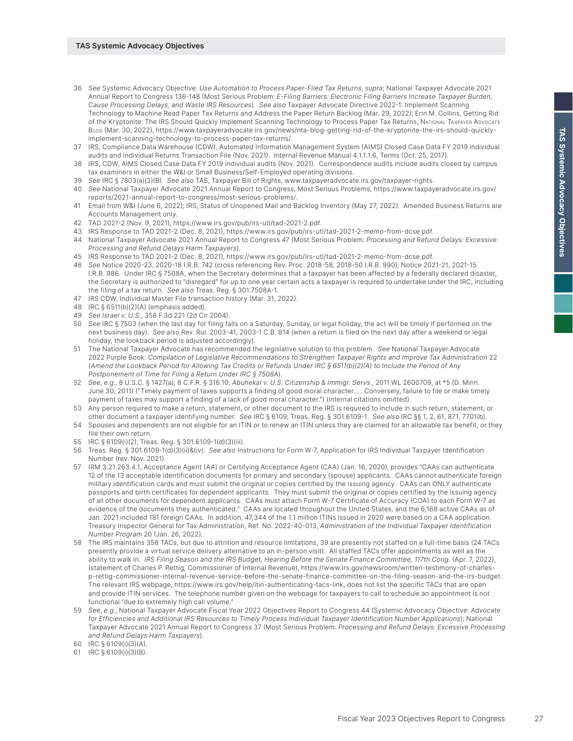- 36 *See* Systemic Advocacy Objective: *Use Automation to Process Paper-Filed Tax Returns*, *supra*; National Taxpayer Advocate 2021 Annual Report to Congress 136-148 (Most Serious Problem: *E-Filing Barriers: Electronic Filing Barriers Increase Taxpayer Burden, Cause Processing Delays, and Waste IRS Resources*). *See also* Taxpayer Advocate Directive 2022-1: Implement Scanning Technology to Machine Read Paper Tax Returns and Address the Paper Return Backlog (Mar. 29, 2022); Erin M. Collins, Getting Rid of the Kryptonite: The IRS Should Quickly Implement Scanning Technology to Process Paper Tax Returns, NATIONAL TAXPAYER ADVOCATE Blog (Mar. 30, 2022), [https://www.taxpayeradvocate.irs.gov/news/nta-blog-getting-rid-of-the-kryptonite-the-irs-should-quickly](https://www.taxpayeradvocate.irs.gov/news/nta-blog-getting-rid-of-the-kryptonite-the-irs-should-quickly-implement-scanning-technology-to-process-paper-tax-returns/)[implement-scanning-technology-to-process-paper-tax-returns/](https://www.taxpayeradvocate.irs.gov/news/nta-blog-getting-rid-of-the-kryptonite-the-irs-should-quickly-implement-scanning-technology-to-process-paper-tax-returns/).
- 37 IRS, Compliance Data Warehouse (CDW), Automated Information Management System (AIMS) Closed Case Data FY 2019 individual audits and Individual Returns Transaction File (Nov. 2021). Internal Revenue Manual 4.1.1.1.6, Terms (Oct. 25, 2017).
- 38 IRS, CDW, AIMS Closed Case Data FY 2019 individual audits (Nov. 2021). Correspondence audits include audits closed by campus tax examiners in either the W&I or Small Business/Self-Employed operating divisions.
- 39 *See* IRC § 7803(a)(3)(B). *See also* TAS, Taxpayer Bill of Rights, [www.taxpayeradvocate.irs.gov/taxpayer-rights](http://www.taxpayeradvocate.irs.gov/taxpayer-rights).
- 40 *See* National Taxpayer Advocate 2021 Annual Report to Congress, Most Serious Problems, [https://www.taxpayeradvocate.irs.gov/](https://www.taxpayeradvocate.irs.gov/reports/2021-annual-report-to-congress/most-serious-problems/) [reports/2021-annual-report-to-congress/most-serious-problems/.](https://www.taxpayeradvocate.irs.gov/reports/2021-annual-report-to-congress/most-serious-problems/)
- 41 Email from W&I (June 6, 2022); IRS, Status of Unopened Mail and Backlog Inventory (May 27, 2022). Amended Business Returns are Accounts Management only.
- 42 TAD 2021-2 (Nov. 9, 2021),<https://www.irs.gov/pub/irs-utl/tad-2021-2.pdf>.
- 43 IRS Response to TAD 2021-2 (Dec. 8, 2021),<https://www.irs.gov/pub/irs-utl/tad-2021-2-memo-from-dcse.pdf>.
- 44 National Taxpayer Advocate 2021 Annual Report to Congress 47 (Most Serious Problem: *Processing and Refund Delays: Excessive Processing and Refund Delays Harm Taxpayers*).
- 45 IRS Response to TAD 2021-2 (Dec. 8, 2021),<https://www.irs.gov/pub/irs-utl/tad-2021-2-memo-from-dcse.pdf>.
- 46 *See* Notice 2020-23, 2020-18 I.R.B. 742 (cross referencing Rev. Proc. 2018-58, 2018-50 I.R.B. 990); Notice 2021-21, 2021-15 I.R.B. 986. Under IRC § 7508A, when the Secretary determines that a taxpayer has been affected by a federally declared disaster, the Secretary is authorized to "disregard" for up to one year certain acts a taxpayer is required to undertake under the IRC, including the filing of a tax return. *See also* Treas. Reg. § 301.7508A-1.
- 47 IRS CDW, Individual Master File transaction history (Mar. 31, 2022).
- 48 IRC § 6511(b)(2)(A) (emphasis added).
- 49 *See Israel v. U.S.*, 356 F.3d 221 (2d Cir 2004).
- 50 *See* IRC § 7503 (when the last day for filing falls on a Saturday, Sunday, or legal holiday, the act will be timely if performed on the next business day). *See also* Rev. Rul. 2003-41, 2003-1 C.B. 814 (when a return is filed on the next day after a weekend or legal holiday, the lookback period is adjusted accordingly).
- 51 The National Taxpayer Advocate has recommended the legislative solution to this problem. *See* National Taxpayer Advocate 2022 Purple Book: *Compilation of Legislative Recommendations to Strengthen Taxpayer Rights and Improve Tax Administration* 22 (*Amend the Lookback Period for Allowing Tax Credits or Refunds Under IRC § 6511(b)(2)(A) to Include the Period of Any Postponement of Time for Filing a Return Under IRC § 7508A*).
- 52 *See*, *e.g*., 8 U.S.C. § 1427(a); 8 C.F.R. § 316.10; *Abuhekal v. U.S. Citizenship & Immigr. Servs*., 2011 WL 2600709, at \*5 (D. Minn. June 30, 2011) ("Timely payment of taxes supports a finding of good moral character… . Conversely, failure to file or make timely payment of taxes may support a finding of a lack of good moral character.") (internal citations omitted).
- 53 Any person required to make a return, statement, or other document to the IRS is required to include in such return, statement, or other document a taxpayer identifying number. *See* IRC § 6109; Treas. Reg. § 301.6109-1. *See also* IRC §§ 1, 2, 61, 871, 7701(b).
- 54 Spouses and dependents are not eligible for an ITIN or to renew an ITIN unless they are claimed for an allowable tax benefit, or they file their own return.
- 55 IRC § 6109(i)(2); Treas. Reg. § 301.6109-1(d)(3)(iii).
- 56 Treas. Reg. § 301.6109-1(d)(3)(ii)&(iv). *See also* Instructions for Form W-7, Application for IRS Individual Taxpayer Identification Number (rev. Nov. 2021).
- 57 IRM 3.21.263.4.1, Acceptance Agent (AA) or Certifying Acceptance Agent (CAA) (Jan. 16, 2020), provides "CAAs can authenticate 12 of the 13 acceptable identification documents for primary and secondary (spouse) applicants. CAAs cannot authenticate foreign military identification cards and must submit the original or copies certified by the issuing agency. CAAs can ONLY authenticate passports and birth certificates for dependent applicants. They must submit the original or copies certified by the issuing agency of all other documents for dependent applicants. CAAs must attach Form W-7 Certificate of Accuracy (COA) to each Form W-7 as evidence of the documents they authenticated." CAAs are located throughout the United States, and the 6,168 active CAAs as of Jan. 2021 included 181 foreign CAAs. In addition, 47,344 of the 1.1 million ITINs issued in 2020 were based on a CAA application. Treasury Inspector General for Tax Administration, Ref. No. 2022-40-013, *Administration of the Individual Taxpayer Identification Number Program* 20 (Jan. 26, 2022).
- 58 The IRS maintains 358 TACs, but due to attrition and resource limitations, 39 are presently not staffed on a full-time basis (24 TACs presently provide a virtual service delivery alternative to an in-person visit). All staffed TACs offer appointments as well as the ability to walk in. *IRS Filing Season and the IRS Budget, Hearing Before the Senate Finance Committee, 117th Cong*. (Apr. 7, 2022), (statement of Charles P. Rettig, Commissioner of Internal Revenue), [https://www.irs.gov/newsroom/written-testimony-of-charles](https://www.irs.gov/newsroom/written-testimony-of-charles-p-rettig-commissioner-internal-revenue-service-before-the-senate-finance-committee-on-the-filing-season-and-the-irs-budget)[p-rettig-commissioner-internal-revenue-service-before-the-senate-finance-committee-on-the-filing-season-and-the-irs-budget.](https://www.irs.gov/newsroom/written-testimony-of-charles-p-rettig-commissioner-internal-revenue-service-before-the-senate-finance-committee-on-the-filing-season-and-the-irs-budget) The relevant IRS webpage,<https://www.irs.gov/help/itin-authenticating-tacs-link>, does not list the specific TACs that are open and provide ITIN services. The telephone number given on the webpage for taxpayers to call to schedule an appointment is not functional "due to extremely high call volume."
- 59 *See*, *e.g*., National Taxpayer Advocate Fiscal Year 2022 Objectives Report to Congress 44 (Systemic Advocacy Objective: *Advocate for Efficiencies and Additional IRS Resources to Timely Process Individual Taxpayer Identification Number Applications*); National Taxpayer Advocate 2021 Annual Report to Congress 37 (Most Serious Problem: *Processing and Refund Delays: Excessive Processing and Refund Delays Harm Taxpayers*).
- 60 IRC § 6109(i)(3)(A).
- 61 IRC § 6109(i)(3)(B).